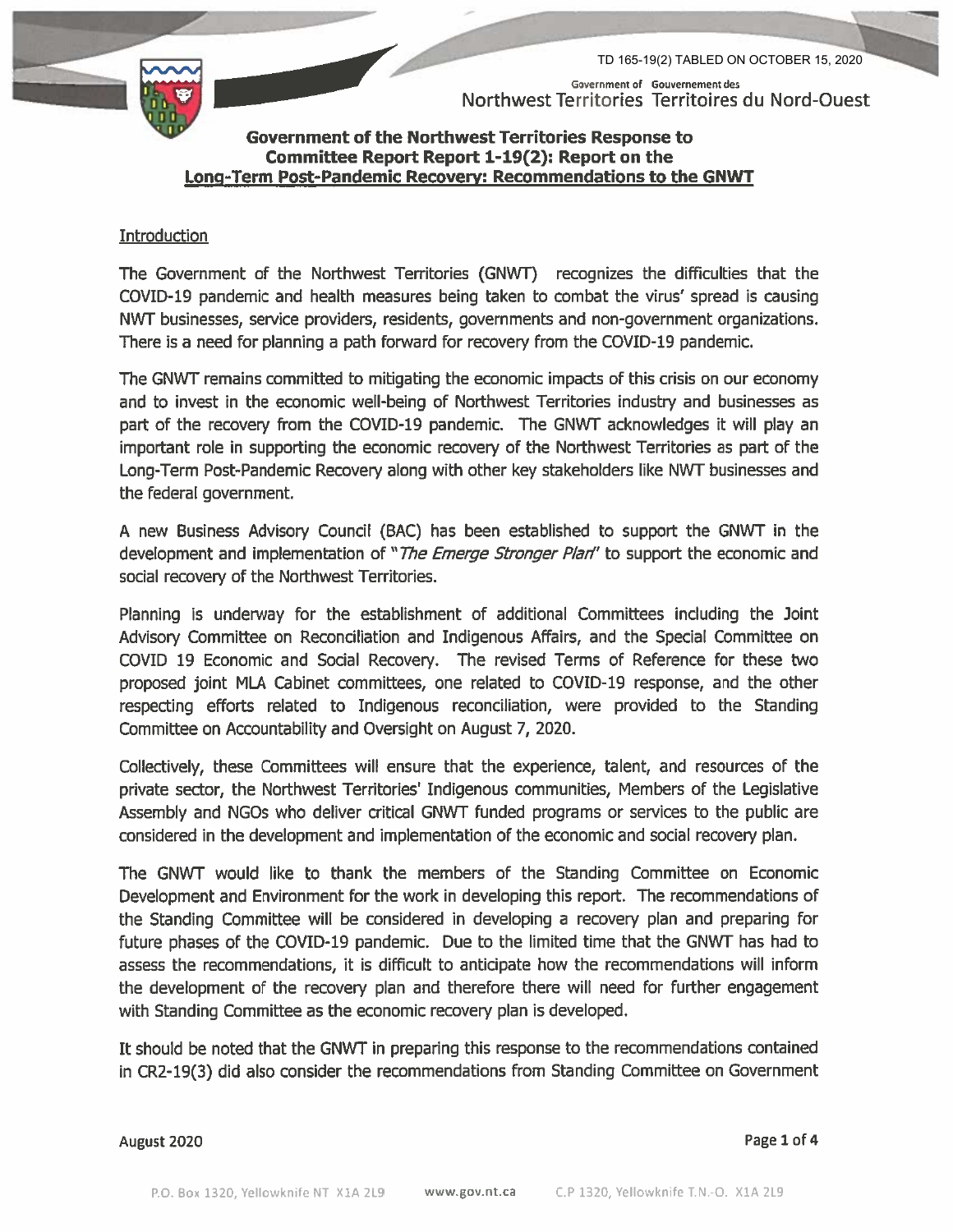TD 165-19(2) TABLED ON OCTOBER 15, 2020



Government of Gouvernement des Northwest Territories Territoires du Nord-Ouest

## Government of the Northwest Territories Response to Committee Report Report 1-19(2): Report on the Long-Term Post-Pandemic Recovery: Recommendations to the GNWT

## **Introduction**

The Government of the Northwest Territories (GNWT) recognizes the difficulties that the COVID-19 pandemic and health measures being taken to combat the virus' spread is causing NWT businesses, service providers, residents, governments and non-government organizations. There is a need for planning a path forward for recovery from the COVID-19 pandemic.

The GNWT remains committed to mitigating the economic impacts of this crisis on our economy and to invest in the economic well-being of Northwest Territories industry and businesses as part of the recovery from the COVID-19 pandemic. The GNWT acknowledges it will play an important role in supporting the economic recovery of the Northwest Territories as part of the Long-Term Post-Pandemic Recovery along with other key stakeholders like NWT businesses and the federal government.

A new Business Advisory Council (BAC) has been established to support the GNWT in the development and implementation of "The Emerge Stronger Plan" to support the economic and social recovery of the Northwest Territories.

Planning is underway for the establishment of additional Committees including the Joint Advisory Committee on Reconciliation and Indigenous Affairs, and the Special Committee on COVID 19 Economic and Social Recovery. The revised Terms of Reference for these two proposed joint MLA Cabinet committees, one related to COVID-19 response, and the other respecting efforts related to Indigenous reconciliation, were provided to the Standing Committee on Accountability and Oversight on August 7, 2020.

Collectively, these Committees will ensure that the experience, talent, and resources of the private sector, the Northwest Territories' Indigenous communities, Members of the Legislative Assembly and NGOs who deliver critical GNWT funded programs or services to the public are considered in the development and implementation of the economic and social recovery plan.

The GNWT would like to thank the members of the Standing Committee on Economic Development and Environment for the work in developing this report. The recommendations of the Standing Committee will be considered in developing a recovery plan and preparing for future phases of the COVID-19 pandemic. Due to the limited time that the GNWT has had to assess the recommendations, it is difficult to anticipate how the recommendations will inform the development of the recovery plan and therefore there will need for further engagement with Standing Committee as the economic recovery plan is developed.

It should be noted that the GNWT in preparing this response to the recommendations contained in CR2-19(3) did also consider the recommendations from Standing Committee on Government

August 2020

Page 1 of 4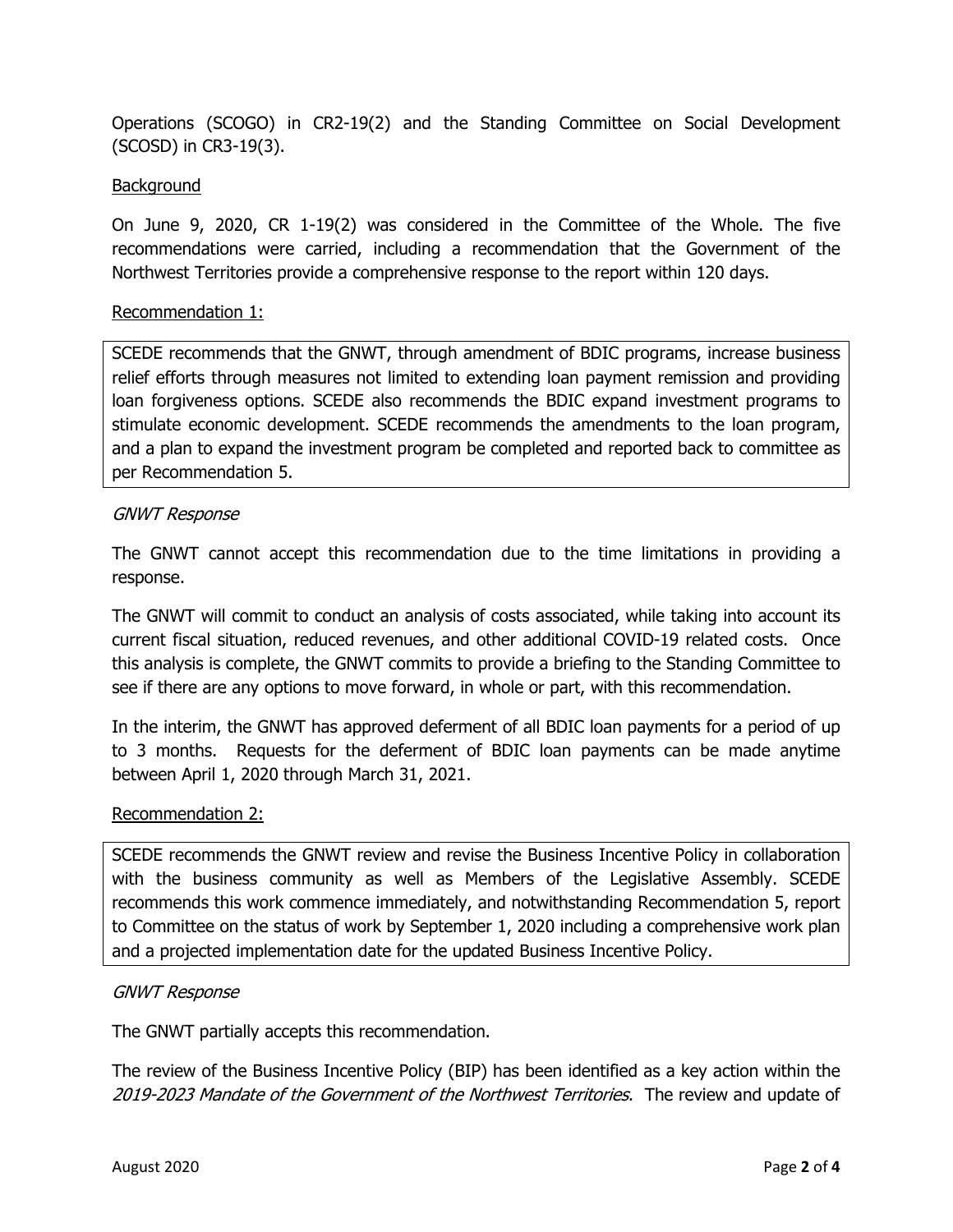Operations (SCOGO) in CR2-19(2) and the Standing Committee on Social Development (SCOSD) in CR3-19(3).

## **Background**

On June 9, 2020, CR 1-19(2) was considered in the Committee of the Whole. The five recommendations were carried, including a recommendation that the Government of the Northwest Territories provide a comprehensive response to the report within 120 days.

## Recommendation 1:

SCEDE recommends that the GNWT, through amendment of BDIC programs, increase business relief efforts through measures not limited to extending loan payment remission and providing loan forgiveness options. SCEDE also recommends the BDIC expand investment programs to stimulate economic development. SCEDE recommends the amendments to the loan program, and a plan to expand the investment program be completed and reported back to committee as per Recommendation 5.

## GNWT Response

The GNWT cannot accept this recommendation due to the time limitations in providing a response.

The GNWT will commit to conduct an analysis of costs associated, while taking into account its current fiscal situation, reduced revenues, and other additional COVID-19 related costs. Once this analysis is complete, the GNWT commits to provide a briefing to the Standing Committee to see if there are any options to move forward, in whole or part, with this recommendation.

In the interim, the GNWT has approved deferment of all BDIC loan payments for a period of up to 3 months. Requests for the deferment of BDIC loan payments can be made anytime between April 1, 2020 through March 31, 2021.

# Recommendation 2:

SCEDE recommends the GNWT review and revise the Business Incentive Policy in collaboration with the business community as well as Members of the Legislative Assembly. SCEDE recommends this work commence immediately, and notwithstanding Recommendation 5, report to Committee on the status of work by September 1, 2020 including a comprehensive work plan and a projected implementation date for the updated Business Incentive Policy.

### GNWT Response

The GNWT partially accepts this recommendation.

The review of the Business Incentive Policy (BIP) has been identified as a key action within the 2019-2023 Mandate of the Government of the Northwest Territories. The review and update of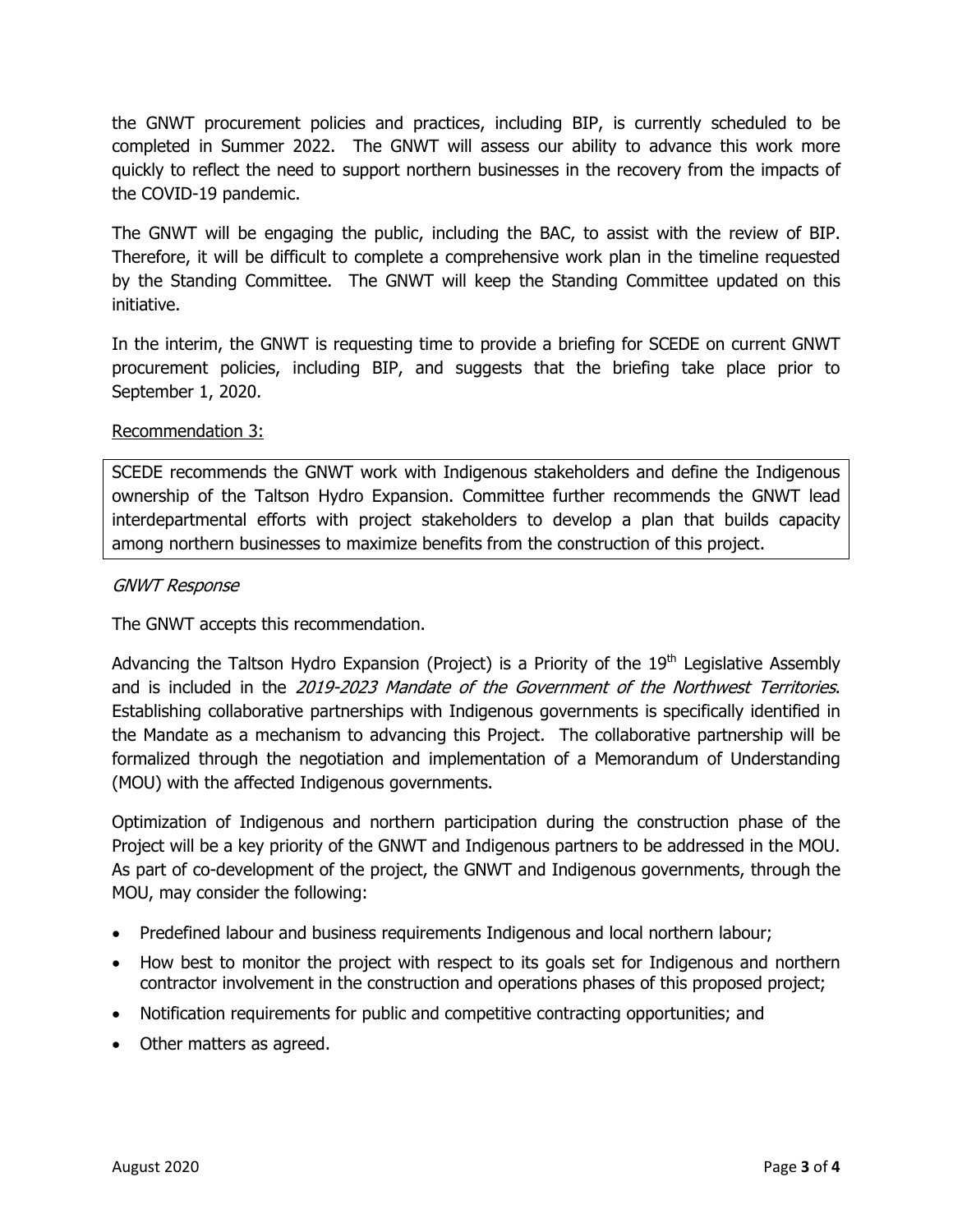the GNWT procurement policies and practices, including BIP, is currently scheduled to be completed in Summer 2022. The GNWT will assess our ability to advance this work more quickly to reflect the need to support northern businesses in the recovery from the impacts of the COVID-19 pandemic.

The GNWT will be engaging the public, including the BAC, to assist with the review of BIP. Therefore, it will be difficult to complete a comprehensive work plan in the timeline requested by the Standing Committee. The GNWT will keep the Standing Committee updated on this initiative.

In the interim, the GNWT is requesting time to provide a briefing for SCEDE on current GNWT procurement policies, including BIP, and suggests that the briefing take place prior to September 1, 2020.

# Recommendation 3:

SCEDE recommends the GNWT work with Indigenous stakeholders and define the Indigenous ownership of the Taltson Hydro Expansion. Committee further recommends the GNWT lead interdepartmental efforts with project stakeholders to develop a plan that builds capacity among northern businesses to maximize benefits from the construction of this project.

# GNWT Response

The GNWT accepts this recommendation.

Advancing the Taltson Hydro Expansion (Project) is a Priority of the  $19<sup>th</sup>$  Legislative Assembly and is included in the 2019-2023 Mandate of the Government of the Northwest Territories. Establishing collaborative partnerships with Indigenous governments is specifically identified in the Mandate as a mechanism to advancing this Project. The collaborative partnership will be formalized through the negotiation and implementation of a Memorandum of Understanding (MOU) with the affected Indigenous governments.

Optimization of Indigenous and northern participation during the construction phase of the Project will be a key priority of the GNWT and Indigenous partners to be addressed in the MOU. As part of co-development of the project, the GNWT and Indigenous governments, through the MOU, may consider the following:

- Predefined labour and business requirements Indigenous and local northern labour;
- How best to monitor the project with respect to its goals set for Indigenous and northern contractor involvement in the construction and operations phases of this proposed project;
- Notification requirements for public and competitive contracting opportunities; and
- Other matters as agreed.